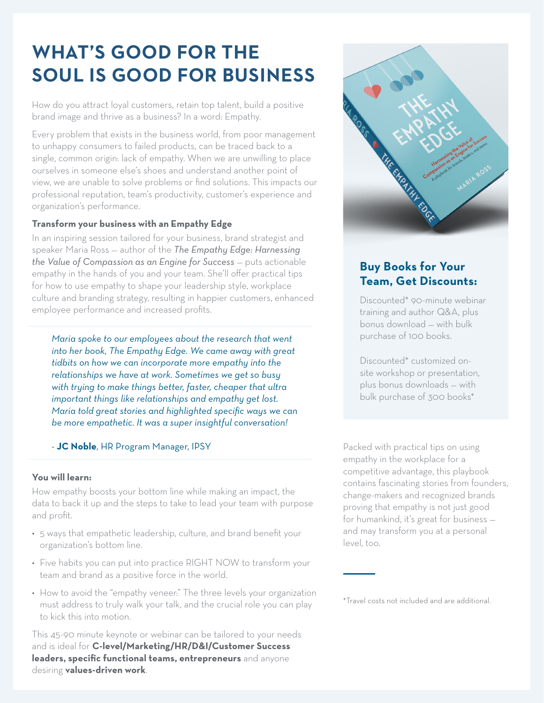# **WHAT'S GOOD FOR THE SOUL IS GOOD FOR BUSINESS**

How do you attract loyal customers, retain top talent, build a positive brand image and thrive as a business? In a word: Empathy.

Every problem that exists in the business world, from poor management to unhappy consumers to failed products, can be traced back to a single, common origin: lack of empathy. When we are unwilling to place ourselves in someone else's shoes and understand another point of view, we are unable to solve problems or find solutions. This impacts our professional reputation, team's productivity, customer's experience and organization's performance.

### **Transform your business with an Empathy Edge**

In an inspiring session tailored for your business, brand strategist and speaker Maria Ross — author of the *The Empathy Edge: Harnessing the Value of Compassion as an Engine for Success - puts actionable* empathy in the hands of you and your team. She'll offer practical tips for how to use empathy to shape your leadership style, workplace culture and branding strategy, resulting in happier customers, enhanced employee performance and increased profits.

*Maria spoke to our employees about the research that went into her book, The Empathy Edge. We came away with great tidbits on how we can incorporate more empathy into the relationships we have at work. Sometimes we get so busy with trying to make things better, faster, cheaper that ultra important things like relationships and empathy get lost. Maria told great stories and highlighted specific ways we can be more empathetic. It was a super insightful conversation!* 

#### - **JC Noble**, HR Program Manager, IPSY

#### **You will learn:**

How empathy boosts your bottom line while making an impact, the data to back it up and the steps to take to lead your team with purpose and profit.

- 5 ways that empathetic leadership, culture, and brand benefit your organization's bottom line.
- Five habits you can put into practice RIGHT NOW to transform your team and brand as a positive force in the world.
- How to avoid the "empathy veneer:" The three levels your organization must address to truly walk your talk, and the crucial role you can play to kick this into motion.

This 45-90 minute keynote or webinar can be tailored to your needs and is ideal for **C-level/Marketing/HR/D&I/Customer Success leaders, specific functional teams, entrepreneurs** and anyone desiring **values-driven work**.



## **Buy Books for Your Team, Get Discounts:**

Discounted\* 90-minute webinar training and author Q&A, plus bonus download — with bulk purchase of 100 books.

Discounted\* customized onsite workshop or presentation, plus bonus downloads — with bulk purchase of 300 books\*

Packed with practical tips on using empathy in the workplace for a competitive advantage, this playbook contains fascinating stories from founders, change-makers and recognized brands proving that empathy is not just good for humankind, it's great for business and may transform you at a personal level, too.

\*Travel costs not included and are additional.